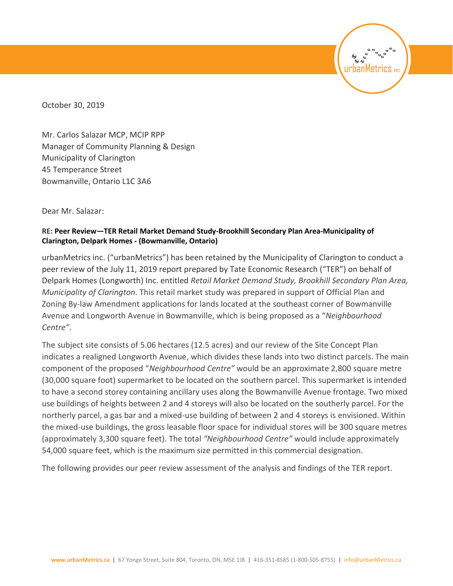October 30, 2019

Mr. Carlos Salazar MCP, MCIP RPP Manager of Community Planning & Design Municipality of Clarington 45 Temperance Street Bowmanville, Ontario L1C 3A6

Dear Mr. Salazar:

#### **RE: Peer Review—TER Retail Market Demand Study-Brookhill Secondary Plan Area-Municipality of Clarington, Delpark Homes - (Bowmanville, Ontario)**

urbanMetrics inc. ("urbanMetrics") has been retained by the Municipality of Clarington to conduct a peer review of the July 11, 2019 report prepared by Tate Economic Research ("TER") on behalf of Delpark Homes (Longworth) Inc. entitled *Retail Market Demand Study, Brookhill Secondary Plan Area, Municipality of Clarington*. This retail market study was prepared in support of Official Plan and Zoning By-law Amendment applications for lands located at the southeast corner of Bowmanville Avenue and Longworth Avenue in Bowmanville, which is being proposed as a "*Neighbourhood Centre"*.

banMetrics<sup>.</sup>

The subject site consists of 5.06 hectares (12.5 acres) and our review of the Site Concept Plan indicates a realigned Longworth Avenue, which divides these lands into two distinct parcels. The main component of the proposed "*Neighbourhood Centre"* would be an approximate 2,800 square metre (30,000 square foot) supermarket to be located on the southern parcel. This supermarket is intended to have a second storey containing ancillary uses along the Bowmanville Avenue frontage. Two mixed use buildings of heights between 2 and 4 storeys will also be located on the southerly parcel. For the northerly parcel, a gas bar and a mixed-use building of between 2 and 4 storeys is envisioned. Within the mixed-use buildings, the gross leasable floor space for individual stores will be 300 square metres (approximately 3,300 square feet). The total *"Neighbourhood Centre"* would include approximately 54,000 square feet, which is the maximum size permitted in this commercial designation.

The following provides our peer review assessment of the analysis and findings of the TER report.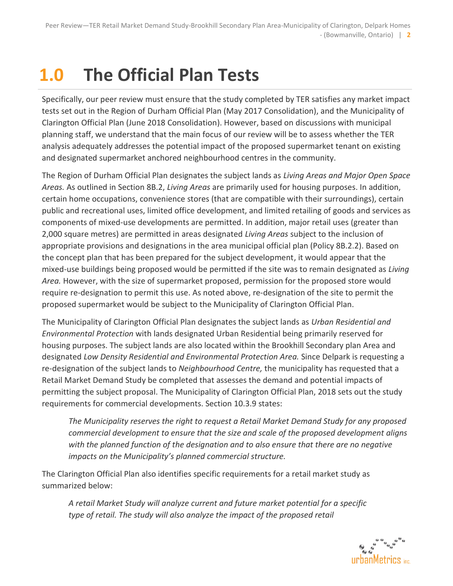# **1.0 The Official Plan Tests**

Specifically, our peer review must ensure that the study completed by TER satisfies any market impact tests set out in the Region of Durham Official Plan (May 2017 Consolidation), and the Municipality of Clarington Official Plan (June 2018 Consolidation). However, based on discussions with municipal planning staff, we understand that the main focus of our review will be to assess whether the TER analysis adequately addresses the potential impact of the proposed supermarket tenant on existing and designated supermarket anchored neighbourhood centres in the community.

The Region of Durham Official Plan designates the subject lands as *Living Areas and Major Open Space Areas.* As outlined in Section 8B.2, *Living Areas* are primarily used for housing purposes. In addition, certain home occupations, convenience stores (that are compatible with their surroundings), certain public and recreational uses, limited office development, and limited retailing of goods and services as components of mixed-use developments are permitted. In addition, major retail uses (greater than 2,000 square metres) are permitted in areas designated *Living Areas* subject to the inclusion of appropriate provisions and designations in the area municipal official plan (Policy 8B.2.2). Based on the concept plan that has been prepared for the subject development, it would appear that the mixed-use buildings being proposed would be permitted if the site was to remain designated as *Living Area.* However, with the size of supermarket proposed, permission for the proposed store would require re-designation to permit this use. As noted above, re-designation of the site to permit the proposed supermarket would be subject to the Municipality of Clarington Official Plan.

The Municipality of Clarington Official Plan designates the subject lands as *Urban Residential and Environmental Protection* with lands designated Urban Residential being primarily reserved for housing purposes. The subject lands are also located within the Brookhill Secondary plan Area and designated *Low Density Residential and Environmental Protection Area.* Since Delpark is requesting a re-designation of the subject lands to *Neighbourhood Centre,* the municipality has requested that a Retail Market Demand Study be completed that assesses the demand and potential impacts of permitting the subject proposal. The Municipality of Clarington Official Plan, 2018 sets out the study requirements for commercial developments. Section 10.3.9 states:

*The Municipality reserves the right to request a Retail Market Demand Study for any proposed commercial development to ensure that the size and scale of the proposed development aligns with the planned function of the designation and to also ensure that there are no negative impacts on the Municipality's planned commercial structure.*

The Clarington Official Plan also identifies specific requirements for a retail market study as summarized below:

*A retail Market Study will analyze current and future market potential for a specific type of retail. The study will also analyze the impact of the proposed retail* 

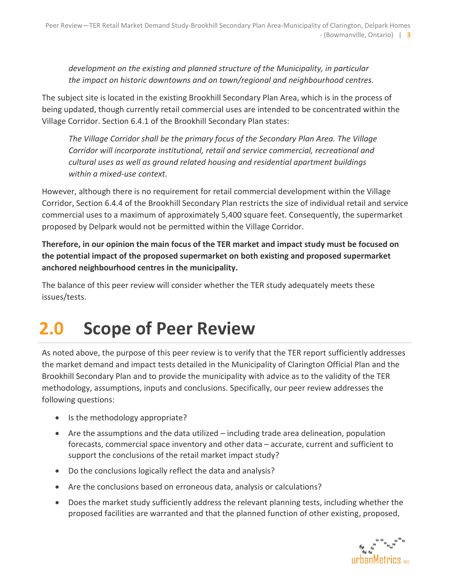*development on the existing and planned structure of the Municipality, in particular the impact on historic downtowns and on town/regional and neighbourhood centres.*

The subject site is located in the existing Brookhill Secondary Plan Area, which is in the process of being updated, though currently retail commercial uses are intended to be concentrated within the Village Corridor. Section 6.4.1 of the Brookhill Secondary Plan states:

*The Village Corridor shall be the primary focus of the Secondary Plan Area. The Village Corridor will incorporate institutional, retail and service commercial, recreational and cultural uses as well as ground related housing and residential apartment buildings within a mixed-use context.*

However, although there is no requirement for retail commercial development within the Village Corridor, Section 6.4.4 of the Brookhill Secondary Plan restricts the size of individual retail and service commercial uses to a maximum of approximately 5,400 square feet. Consequently, the supermarket proposed by Delpark would not be permitted within the Village Corridor.

**Therefore, in our opinion the main focus of the TER market and impact study must be focused on the potential impact of the proposed supermarket on both existing and proposed supermarket anchored neighbourhood centres in the municipality.**

The balance of this peer review will consider whether the TER study adequately meets these issues/tests.

## **2.0 Scope of Peer Review**

As noted above, the purpose of this peer review is to verify that the TER report sufficiently addresses the market demand and impact tests detailed in the Municipality of Clarington Official Plan and the Brookhill Secondary Plan and to provide the municipality with advice as to the validity of the TER methodology, assumptions, inputs and conclusions. Specifically, our peer review addresses the following questions:

- Is the methodology appropriate?
- Are the assumptions and the data utilized including trade area delineation, population forecasts, commercial space inventory and other data – accurate, current and sufficient to support the conclusions of the retail market impact study?
- Do the conclusions logically reflect the data and analysis?
- Are the conclusions based on erroneous data, analysis or calculations?
- Does the market study sufficiently address the relevant planning tests, including whether the proposed facilities are warranted and that the planned function of other existing, proposed,

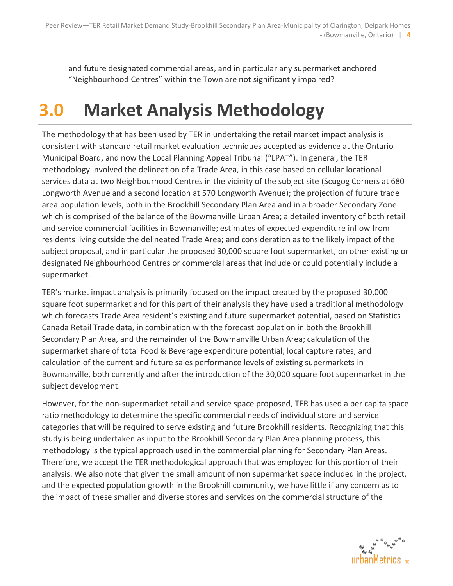and future designated commercial areas, and in particular any supermarket anchored "Neighbourhood Centres" within the Town are not significantly impaired?

## **3.0 Market Analysis Methodology**

The methodology that has been used by TER in undertaking the retail market impact analysis is consistent with standard retail market evaluation techniques accepted as evidence at the Ontario Municipal Board, and now the Local Planning Appeal Tribunal ("LPAT"). In general, the TER methodology involved the delineation of a Trade Area, in this case based on cellular locational services data at two Neighbourhood Centres in the vicinity of the subject site (Scugog Corners at 680 Longworth Avenue and a second location at 570 Longworth Avenue); the projection of future trade area population levels, both in the Brookhill Secondary Plan Area and in a broader Secondary Zone which is comprised of the balance of the Bowmanville Urban Area; a detailed inventory of both retail and service commercial facilities in Bowmanville; estimates of expected expenditure inflow from residents living outside the delineated Trade Area; and consideration as to the likely impact of the subject proposal, and in particular the proposed 30,000 square foot supermarket, on other existing or designated Neighbourhood Centres or commercial areas that include or could potentially include a supermarket.

TER's market impact analysis is primarily focused on the impact created by the proposed 30,000 square foot supermarket and for this part of their analysis they have used a traditional methodology which forecasts Trade Area resident's existing and future supermarket potential, based on Statistics Canada Retail Trade data, in combination with the forecast population in both the Brookhill Secondary Plan Area, and the remainder of the Bowmanville Urban Area; calculation of the supermarket share of total Food & Beverage expenditure potential; local capture rates; and calculation of the current and future sales performance levels of existing supermarkets in Bowmanville, both currently and after the introduction of the 30,000 square foot supermarket in the subject development.

However, for the non-supermarket retail and service space proposed, TER has used a per capita space ratio methodology to determine the specific commercial needs of individual store and service categories that will be required to serve existing and future Brookhill residents. Recognizing that this study is being undertaken as input to the Brookhill Secondary Plan Area planning process, this methodology is the typical approach used in the commercial planning for Secondary Plan Areas. Therefore, we accept the TER methodological approach that was employed for this portion of their analysis. We also note that given the small amount of non supermarket space included in the project, and the expected population growth in the Brookhill community, we have little if any concern as to the impact of these smaller and diverse stores and services on the commercial structure of the

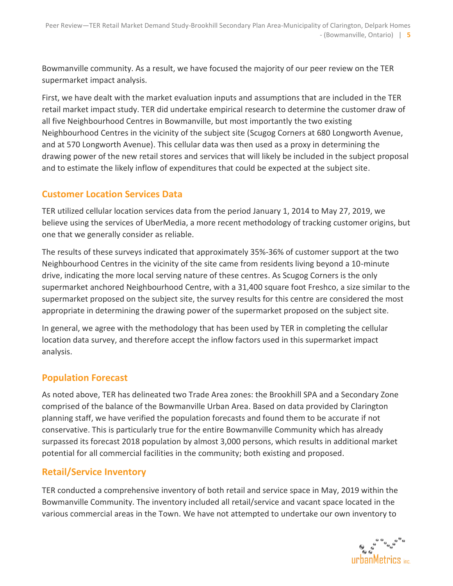Bowmanville community. As a result, we have focused the majority of our peer review on the TER supermarket impact analysis.

First, we have dealt with the market evaluation inputs and assumptions that are included in the TER retail market impact study. TER did undertake empirical research to determine the customer draw of all five Neighbourhood Centres in Bowmanville, but most importantly the two existing Neighbourhood Centres in the vicinity of the subject site (Scugog Corners at 680 Longworth Avenue, and at 570 Longworth Avenue). This cellular data was then used as a proxy in determining the drawing power of the new retail stores and services that will likely be included in the subject proposal and to estimate the likely inflow of expenditures that could be expected at the subject site.

#### **Customer Location Services Data**

TER utilized cellular location services data from the period January 1, 2014 to May 27, 2019, we believe using the services of UberMedia, a more recent methodology of tracking customer origins, but one that we generally consider as reliable.

The results of these surveys indicated that approximately 35%-36% of customer support at the two Neighbourhood Centres in the vicinity of the site came from residents living beyond a 10-minute drive, indicating the more local serving nature of these centres. As Scugog Corners is the only supermarket anchored Neighbourhood Centre, with a 31,400 square foot Freshco, a size similar to the supermarket proposed on the subject site, the survey results for this centre are considered the most appropriate in determining the drawing power of the supermarket proposed on the subject site.

In general, we agree with the methodology that has been used by TER in completing the cellular location data survey, and therefore accept the inflow factors used in this supermarket impact analysis.

#### **Population Forecast**

As noted above, TER has delineated two Trade Area zones: the Brookhill SPA and a Secondary Zone comprised of the balance of the Bowmanville Urban Area. Based on data provided by Clarington planning staff, we have verified the population forecasts and found them to be accurate if not conservative. This is particularly true for the entire Bowmanville Community which has already surpassed its forecast 2018 population by almost 3,000 persons, which results in additional market potential for all commercial facilities in the community; both existing and proposed.

#### **Retail/Service Inventory**

TER conducted a comprehensive inventory of both retail and service space in May, 2019 within the Bowmanville Community. The inventory included all retail/service and vacant space located in the various commercial areas in the Town. We have not attempted to undertake our own inventory to

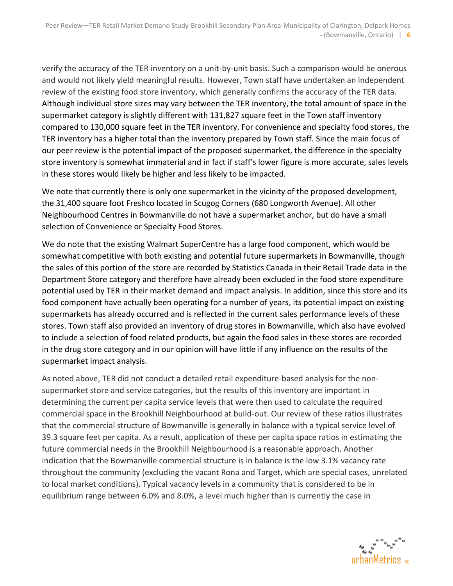verify the accuracy of the TER inventory on a unit-by-unit basis. Such a comparison would be onerous and would not likely yield meaningful results. However, Town staff have undertaken an independent review of the existing food store inventory, which generally confirms the accuracy of the TER data. Although individual store sizes may vary between the TER inventory, the total amount of space in the supermarket category is slightly different with 131,827 square feet in the Town staff inventory compared to 130,000 square feet in the TER inventory. For convenience and specialty food stores, the TER inventory has a higher total than the inventory prepared by Town staff. Since the main focus of our peer review is the potential impact of the proposed supermarket, the difference in the specialty store inventory is somewhat immaterial and in fact if staff's lower figure is more accurate, sales levels in these stores would likely be higher and less likely to be impacted.

We note that currently there is only one supermarket in the vicinity of the proposed development, the 31,400 square foot Freshco located in Scugog Corners (680 Longworth Avenue). All other Neighbourhood Centres in Bowmanville do not have a supermarket anchor, but do have a small selection of Convenience or Specialty Food Stores.

We do note that the existing Walmart SuperCentre has a large food component, which would be somewhat competitive with both existing and potential future supermarkets in Bowmanville, though the sales of this portion of the store are recorded by Statistics Canada in their Retail Trade data in the Department Store category and therefore have already been excluded in the food store expenditure potential used by TER in their market demand and impact analysis. In addition, since this store and its food component have actually been operating for a number of years, its potential impact on existing supermarkets has already occurred and is reflected in the current sales performance levels of these stores. Town staff also provided an inventory of drug stores in Bowmanville, which also have evolved to include a selection of food related products, but again the food sales in these stores are recorded in the drug store category and in our opinion will have little if any influence on the results of the supermarket impact analysis.

As noted above, TER did not conduct a detailed retail expenditure-based analysis for the nonsupermarket store and service categories, but the results of this inventory are important in determining the current per capita service levels that were then used to calculate the required commercial space in the Brookhill Neighbourhood at build-out. Our review of these ratios illustrates that the commercial structure of Bowmanville is generally in balance with a typical service level of 39.3 square feet per capita. As a result, application of these per capita space ratios in estimating the future commercial needs in the Brookhill Neighbourhood is a reasonable approach. Another indication that the Bowmanville commercial structure is in balance is the low 3.1% vacancy rate throughout the community (excluding the vacant Rona and Target, which are special cases, unrelated to local market conditions). Typical vacancy levels in a community that is considered to be in equilibrium range between 6.0% and 8.0%, a level much higher than is currently the case in

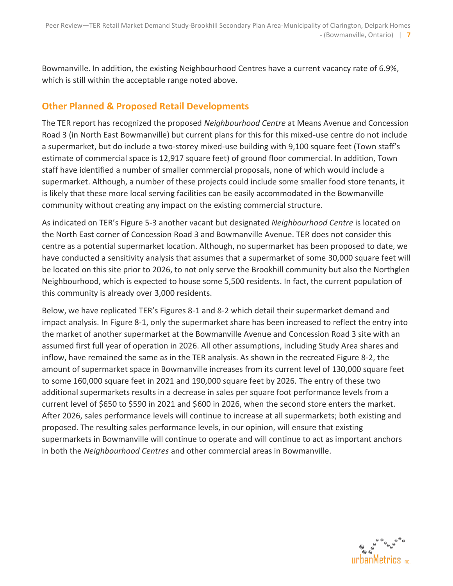Bowmanville. In addition, the existing Neighbourhood Centres have a current vacancy rate of 6.9%, which is still within the acceptable range noted above.

### **Other Planned & Proposed Retail Developments**

The TER report has recognized the proposed *Neighbourhood Centre* at Means Avenue and Concession Road 3 (in North East Bowmanville) but current plans for this for this mixed-use centre do not include a supermarket, but do include a two-storey mixed-use building with 9,100 square feet (Town staff's estimate of commercial space is 12,917 square feet) of ground floor commercial. In addition, Town staff have identified a number of smaller commercial proposals, none of which would include a supermarket. Although, a number of these projects could include some smaller food store tenants, it is likely that these more local serving facilities can be easily accommodated in the Bowmanville community without creating any impact on the existing commercial structure.

As indicated on TER's Figure 5-3 another vacant but designated *Neighbourhood Centre* is located on the North East corner of Concession Road 3 and Bowmanville Avenue. TER does not consider this centre as a potential supermarket location. Although, no supermarket has been proposed to date, we have conducted a sensitivity analysis that assumes that a supermarket of some 30,000 square feet will be located on this site prior to 2026, to not only serve the Brookhill community but also the Northglen Neighbourhood, which is expected to house some 5,500 residents. In fact, the current population of this community is already over 3,000 residents.

Below, we have replicated TER's Figures 8-1 and 8-2 which detail their supermarket demand and impact analysis. In Figure 8-1, only the supermarket share has been increased to reflect the entry into the market of another supermarket at the Bowmanville Avenue and Concession Road 3 site with an assumed first full year of operation in 2026. All other assumptions, including Study Area shares and inflow, have remained the same as in the TER analysis. As shown in the recreated Figure 8-2, the amount of supermarket space in Bowmanville increases from its current level of 130,000 square feet to some 160,000 square feet in 2021 and 190,000 square feet by 2026. The entry of these two additional supermarkets results in a decrease in sales per square foot performance levels from a current level of \$650 to \$590 in 2021 and \$600 in 2026, when the second store enters the market. After 2026, sales performance levels will continue to increase at all supermarkets; both existing and proposed. The resulting sales performance levels, in our opinion, will ensure that existing supermarkets in Bowmanville will continue to operate and will continue to act as important anchors in both the *Neighbourhood Centres* and other commercial areas in Bowmanville.

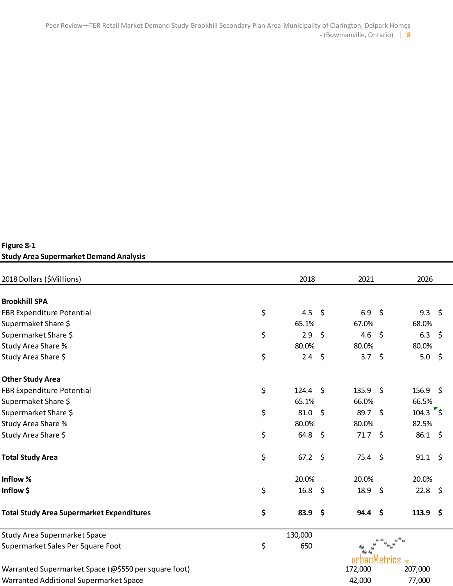#### **Figure 8-1 Study Area Supermarket Demand Analysis**

| 2018 Dollars (\$Millions)<br>2018                                                                   |    |                   |         | 2021                | 2026        |                    |         |
|-----------------------------------------------------------------------------------------------------|----|-------------------|---------|---------------------|-------------|--------------------|---------|
|                                                                                                     |    |                   |         |                     |             |                    |         |
| <b>Brookhill SPA</b>                                                                                |    |                   |         |                     |             |                    |         |
| FBR Expenditure Potential                                                                           | \$ | 4.5 \$            |         | 6.9 \$              |             | 9.3                | $\zeta$ |
| Supermaket Share \$                                                                                 |    | 65.1%             |         | 67.0%               |             | 68.0%              |         |
| Supermarket Share \$                                                                                | \$ | 2.9               | \$      | 4.6                 | -\$         | 6.3 \$             |         |
| Study Area Share %                                                                                  |    | 80.0%             |         | 80.0%               |             | 80.0%              |         |
| Study Area Share \$                                                                                 | \$ | $2.4 \quad $5$    |         | 3.7 \$              |             | 5.0 \$             |         |
| <b>Other Study Area</b><br>FBR Expenditure Potential<br>Supermaket Share \$<br>Supermarket Share \$ |    |                   |         |                     |             |                    |         |
|                                                                                                     | \$ | $124.4 \quad$ \$  |         | 135.9 \$            |             | $156.9$ \$         |         |
|                                                                                                     |    | 65.1%             |         | 66.0%               |             | 66.5%              |         |
|                                                                                                     | \$ | 81.0              | \$      | 89.7 \$             |             | $104.3$ $\sqrt{5}$ |         |
| Study Area Share %                                                                                  |    | 80.0%             |         | 80.0%               |             | 82.5%              |         |
| Study Area Share \$                                                                                 | \$ | $64.8\frac{2}{3}$ |         | $71.7$ \$           |             | $86.1 \; \S$       |         |
| <b>Total Study Area</b>                                                                             | \$ | $67.2 \div$       |         | $75.4 \; \S$        |             | $91.1 \; \text{S}$ |         |
| Inflow %                                                                                            |    | 20.0%             |         | 20.0%               |             | 20.0%              |         |
| Inflow \$                                                                                           | \$ | 16.8              | $\zeta$ | 18.9 \$             |             | $22.8$ \$          |         |
| <b>Total Study Area Supermarket Expenditures</b>                                                    | \$ | 83.9              | $\zeta$ | $94.4$ \$           |             | 113.9 \$           |         |
| <b>Study Area Supermarket Space</b>                                                                 |    | 130,000           |         |                     |             |                    |         |
| Supermarket Sales Per Square Foot                                                                   | \$ | 650               |         | ۰                   |             |                    |         |
| Warranted Supermarket Space (@\$550 per square foot)                                                |    |                   |         | urbanMet<br>172,000 | <b>TICS</b> | inc.<br>207,000    |         |
|                                                                                                     |    |                   |         |                     |             |                    |         |
| Warranted Additional Supermarket Space                                                              |    |                   |         | 42,000              |             | 77,000             |         |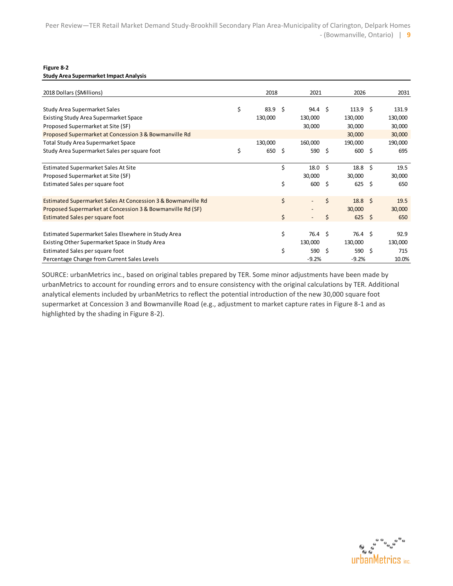#### **Figure 8-2**

**Study Area Supermarket Impact Analysis**

| 2018 Dollars (\$Millions)                                    | 2018                    |      | 2021              |      | 2026               |      | 2031    |
|--------------------------------------------------------------|-------------------------|------|-------------------|------|--------------------|------|---------|
| Study Area Supermarket Sales                                 | \$<br>83.9 <sup>5</sup> |      | 94.4 <sup>5</sup> |      | 113.9 <sup>5</sup> |      | 131.9   |
| <b>Existing Study Area Supermarket Space</b>                 | 130,000                 |      | 130,000           |      | 130,000            |      | 130,000 |
| Proposed Supermarket at Site (SF)                            |                         |      | 30,000            |      | 30,000             |      | 30,000  |
| Proposed Supermarket at Concession 3 & Bowmanville Rd        |                         |      |                   |      | 30,000             |      | 30,000  |
| <b>Total Study Area Supermarket Space</b>                    | 130,000                 |      | 160,000           |      | 190,000            |      | 190,000 |
| Study Area Supermarket Sales per square foot                 | \$<br>650               | - \$ | 590 \$            |      | 600 \$             |      | 695     |
| <b>Estimated Supermarket Sales At Site</b>                   |                         | \$   | 18.0              | - \$ | $18.8\frac{1}{5}$  |      | 19.5    |
| Proposed Supermarket at Site (SF)                            |                         |      | 30,000            |      | 30,000             |      | 30,000  |
| Estimated Sales per square foot                              |                         | \$   | 600               | - \$ | 625                | - \$ | 650     |
| Estimated Supermarket Sales At Concession 3 & Bowmanville Rd |                         | \$   |                   | \$   | $18.8 \quad $$     |      | 19.5    |
| Proposed Supermarket at Concession 3 & Bowmanville Rd (SF)   |                         |      |                   |      | 30,000             |      | 30,000  |
| <b>Estimated Sales per square foot</b>                       |                         | \$   |                   | Ś    | 625                | - Ś  | 650     |
| Estimated Supermarket Sales Elsewhere in Study Area          |                         | \$   | 76.4 \$           |      | 76.4 <sup>5</sup>  |      | 92.9    |
| Existing Other Supermarket Space in Study Area               |                         |      | 130,000           |      | 130,000            |      | 130,000 |
| Estimated Sales per square foot                              |                         | \$   | 590               | - \$ | 590 \$             |      | 715     |
| Percentage Change from Current Sales Levels                  |                         |      | $-9.2%$           |      | $-9.2%$            |      | 10.0%   |

SOURCE: urbanMetrics inc., based on original tables prepared by TER. Some minor adjustments have been made by urbanMetrics to account for rounding errors and to ensure consistency with the original calculations by TER. Additional analytical elements included by urbanMetrics to reflect the potential introduction of the new 30,000 square foot supermarket at Concession 3 and Bowmanville Road (e.g., adjustment to market capture rates in Figure 8-1 and as highlighted by the shading in Figure 8-2).

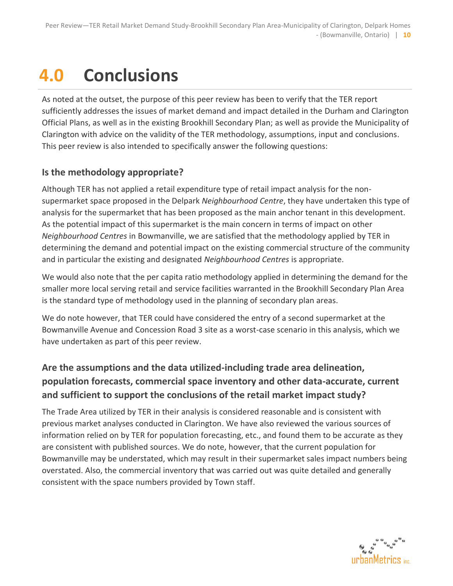# **4.0 Conclusions**

As noted at the outset, the purpose of this peer review has been to verify that the TER report sufficiently addresses the issues of market demand and impact detailed in the Durham and Clarington Official Plans, as well as in the existing Brookhill Secondary Plan; as well as provide the Municipality of Clarington with advice on the validity of the TER methodology, assumptions, input and conclusions. This peer review is also intended to specifically answer the following questions:

### **Is the methodology appropriate?**

Although TER has not applied a retail expenditure type of retail impact analysis for the nonsupermarket space proposed in the Delpark *Neighbourhood Centre*, they have undertaken this type of analysis for the supermarket that has been proposed as the main anchor tenant in this development. As the potential impact of this supermarket is the main concern in terms of impact on other *Neighbourhood Centres* in Bowmanville, we are satisfied that the methodology applied by TER in determining the demand and potential impact on the existing commercial structure of the community and in particular the existing and designated *Neighbourhood Centres* is appropriate.

We would also note that the per capita ratio methodology applied in determining the demand for the smaller more local serving retail and service facilities warranted in the Brookhill Secondary Plan Area is the standard type of methodology used in the planning of secondary plan areas.

We do note however, that TER could have considered the entry of a second supermarket at the Bowmanville Avenue and Concession Road 3 site as a worst-case scenario in this analysis, which we have undertaken as part of this peer review.

### **Are the assumptions and the data utilized-including trade area delineation, population forecasts, commercial space inventory and other data-accurate, current and sufficient to support the conclusions of the retail market impact study?**

The Trade Area utilized by TER in their analysis is considered reasonable and is consistent with previous market analyses conducted in Clarington. We have also reviewed the various sources of information relied on by TER for population forecasting, etc., and found them to be accurate as they are consistent with published sources. We do note, however, that the current population for Bowmanville may be understated, which may result in their supermarket sales impact numbers being overstated. Also, the commercial inventory that was carried out was quite detailed and generally consistent with the space numbers provided by Town staff.

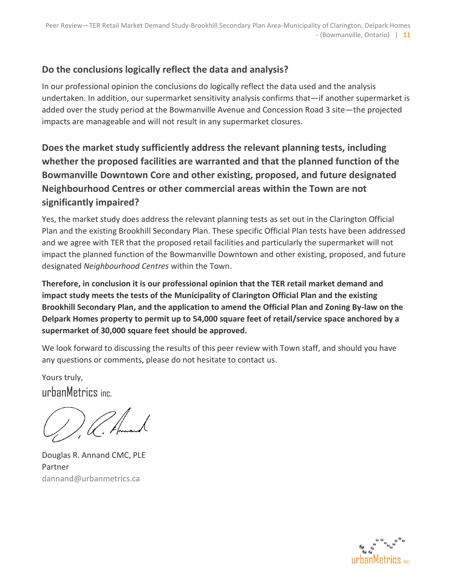### **Do the conclusions logically reflect the data and analysis?**

In our professional opinion the conclusions do logically reflect the data used and the analysis undertaken. In addition, our supermarket sensitivity analysis confirms that—if another supermarket is added over the study period at the Bowmanville Avenue and Concession Road 3 site—the projected impacts are manageable and will not result in any supermarket closures.

**Does the market study sufficiently address the relevant planning tests, including whether the proposed facilities are warranted and that the planned function of the Bowmanville Downtown Core and other existing, proposed, and future designated Neighbourhood Centres or other commercial areas within the Town are not significantly impaired?**

Yes, the market study does address the relevant planning tests as set out in the Clarington Official Plan and the existing Brookhill Secondary Plan. These specific Official Plan tests have been addressed and we agree with TER that the proposed retail facilities and particularly the supermarket will not impact the planned function of the Bowmanville Downtown and other existing, proposed, and future designated *Neighbourhood Centres* within the Town.

**Therefore, in conclusion it is our professional opinion that the TER retail market demand and impact study meets the tests of the Municipality of Clarington Official Plan and the existing Brookhill Secondary Plan, and the application to amend the Official Plan and Zoning By-law on the Delpark Homes property to permit up to 54,000 square feet of retail/service space anchored by a supermarket of 30,000 square feet should be approved.**

We look forward to discussing the results of this peer review with Town staff, and should you have any questions or comments, please do not hesitate to contact us.

Yours truly, urbanMetrics inc.

C. Humand

Douglas R. Annand CMC, PLE Partner dannand@urbanmetrics.ca